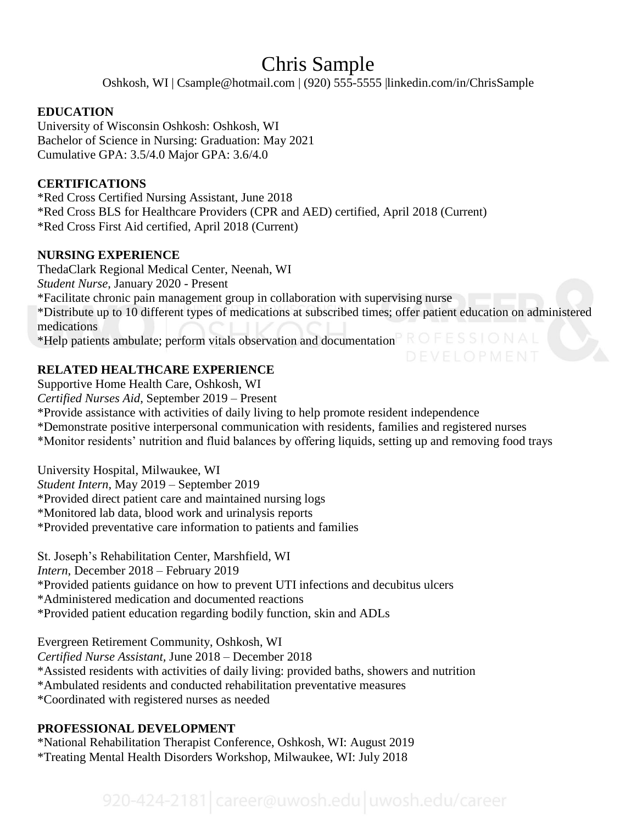# Chris Sample

Oshkosh, WI | Csample@hotmail.com | (920) 555-5555 |linkedin.com/in/ChrisSample

## **EDUCATION**

University of Wisconsin Oshkosh: Oshkosh, WI Bachelor of Science in Nursing: Graduation: May 2021 Cumulative GPA: 3.5/4.0 Major GPA: 3.6/4.0

## **CERTIFICATIONS**

\*Red Cross Certified Nursing Assistant, June 2018 \*Red Cross BLS for Healthcare Providers (CPR and AED) certified, April 2018 (Current) \*Red Cross First Aid certified, April 2018 (Current)

## **NURSING EXPERIENCE**

ThedaClark Regional Medical Center, Neenah, WI *Student Nurse*, January 2020 - Present \*Facilitate chronic pain management group in collaboration with supervising nurse \*Distribute up to 10 different types of medications at subscribed times; offer patient education on administered medications \*Help patients ambulate; perform vitals observation and documentation  $\mathbb{P} \cap \mathbb{R} \subseteq \mathbb{S} \subseteq \mathbb{N} \land \mathbb{R}$ 

# **RELATED HEALTHCARE EXPERIENCE**

Supportive Home Health Care, Oshkosh, WI *Certified Nurses Aid*, September 2019 – Present \*Provide assistance with activities of daily living to help promote resident independence \*Demonstrate positive interpersonal communication with residents, families and registered nurses \*Monitor residents' nutrition and fluid balances by offering liquids, setting up and removing food trays

University Hospital, Milwaukee, WI *Student Intern*, May 2019 – September 2019 \*Provided direct patient care and maintained nursing logs \*Monitored lab data, blood work and urinalysis reports \*Provided preventative care information to patients and families

St. Joseph's Rehabilitation Center, Marshfield, WI *Intern*, December 2018 – February 2019 \*Provided patients guidance on how to prevent UTI infections and decubitus ulcers \*Administered medication and documented reactions \*Provided patient education regarding bodily function, skin and ADLs

Evergreen Retirement Community, Oshkosh, WI *Certified Nurse Assistant,* June 2018 – December 2018 \*Assisted residents with activities of daily living: provided baths, showers and nutrition \*Ambulated residents and conducted rehabilitation preventative measures \*Coordinated with registered nurses as needed

## **PROFESSIONAL DEVELOPMENT**

\*National Rehabilitation Therapist Conference, Oshkosh, WI: August 2019 \*Treating Mental Health Disorders Workshop, Milwaukee, WI: July 2018